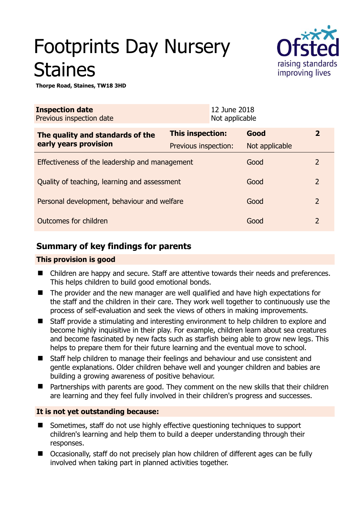# Footprints Day Nursery Staines



**Thorpe Road, Staines, TW18 3HD** 

| <b>Inspection date</b><br>Previous inspection date |                      | 12 June 2018<br>Not applicable |                |                |
|----------------------------------------------------|----------------------|--------------------------------|----------------|----------------|
| The quality and standards of the                   | This inspection:     |                                | Good           | $\overline{2}$ |
| early years provision                              | Previous inspection: |                                | Not applicable |                |
| Effectiveness of the leadership and management     |                      |                                | Good           | 2              |
| Quality of teaching, learning and assessment       |                      |                                | Good           | $\overline{2}$ |
| Personal development, behaviour and welfare        |                      |                                | Good           | $\overline{2}$ |
| Outcomes for children                              |                      |                                | Good           | $\overline{2}$ |

# **Summary of key findings for parents**

# **This provision is good**

- Children are happy and secure. Staff are attentive towards their needs and preferences. This helps children to build good emotional bonds.
- The provider and the new manager are well qualified and have high expectations for the staff and the children in their care. They work well together to continuously use the process of self-evaluation and seek the views of others in making improvements.
- Staff provide a stimulating and interesting environment to help children to explore and become highly inquisitive in their play. For example, children learn about sea creatures and become fascinated by new facts such as starfish being able to grow new legs. This helps to prepare them for their future learning and the eventual move to school.
- Staff help children to manage their feelings and behaviour and use consistent and gentle explanations. Older children behave well and younger children and babies are building a growing awareness of positive behaviour.
- Partnerships with parents are good. They comment on the new skills that their children are learning and they feel fully involved in their children's progress and successes.

# **It is not yet outstanding because:**

- Sometimes, staff do not use highly effective questioning techniques to support children's learning and help them to build a deeper understanding through their responses.
- Occasionally, staff do not precisely plan how children of different ages can be fully involved when taking part in planned activities together.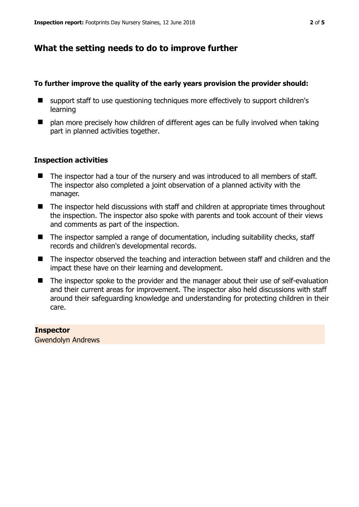# **What the setting needs to do to improve further**

## **To further improve the quality of the early years provision the provider should:**

- support staff to use questioning techniques more effectively to support children's learning
- $\blacksquare$  plan more precisely how children of different ages can be fully involved when taking part in planned activities together.

## **Inspection activities**

- The inspector had a tour of the nursery and was introduced to all members of staff. The inspector also completed a joint observation of a planned activity with the manager.
- The inspector held discussions with staff and children at appropriate times throughout the inspection. The inspector also spoke with parents and took account of their views and comments as part of the inspection.
- The inspector sampled a range of documentation, including suitability checks, staff records and children's developmental records.
- The inspector observed the teaching and interaction between staff and children and the impact these have on their learning and development.
- The inspector spoke to the provider and the manager about their use of self-evaluation and their current areas for improvement. The inspector also held discussions with staff around their safeguarding knowledge and understanding for protecting children in their care.

#### **Inspector**

Gwendolyn Andrews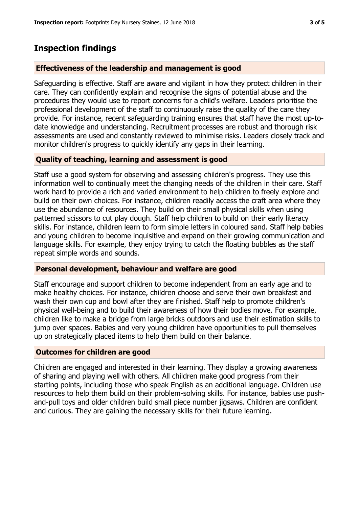# **Effectiveness of the leadership and management is good**

Safeguarding is effective. Staff are aware and vigilant in how they protect children in their care. They can confidently explain and recognise the signs of potential abuse and the procedures they would use to report concerns for a child's welfare. Leaders prioritise the professional development of the staff to continuously raise the quality of the care they provide. For instance, recent safeguarding training ensures that staff have the most up-todate knowledge and understanding. Recruitment processes are robust and thorough risk assessments are used and constantly reviewed to minimise risks. Leaders closely track and monitor children's progress to quickly identify any gaps in their learning.

# **Quality of teaching, learning and assessment is good**

Staff use a good system for observing and assessing children's progress. They use this information well to continually meet the changing needs of the children in their care. Staff work hard to provide a rich and varied environment to help children to freely explore and build on their own choices. For instance, children readily access the craft area where they use the abundance of resources. They build on their small physical skills when using patterned scissors to cut play dough. Staff help children to build on their early literacy skills. For instance, children learn to form simple letters in coloured sand. Staff help babies and young children to become inquisitive and expand on their growing communication and language skills. For example, they enjoy trying to catch the floating bubbles as the staff repeat simple words and sounds.

## **Personal development, behaviour and welfare are good**

Staff encourage and support children to become independent from an early age and to make healthy choices. For instance, children choose and serve their own breakfast and wash their own cup and bowl after they are finished. Staff help to promote children's physical well-being and to build their awareness of how their bodies move. For example, children like to make a bridge from large bricks outdoors and use their estimation skills to jump over spaces. Babies and very young children have opportunities to pull themselves up on strategically placed items to help them build on their balance.

## **Outcomes for children are good**

Children are engaged and interested in their learning. They display a growing awareness of sharing and playing well with others. All children make good progress from their starting points, including those who speak English as an additional language. Children use resources to help them build on their problem-solving skills. For instance, babies use pushand-pull toys and older children build small piece number jigsaws. Children are confident and curious. They are gaining the necessary skills for their future learning.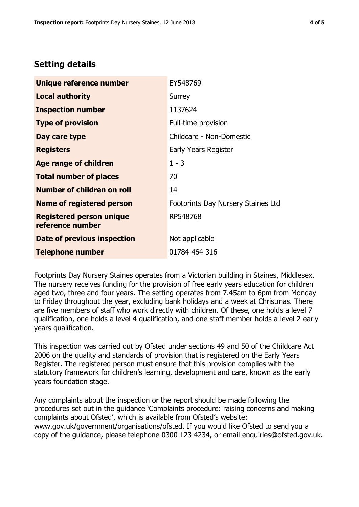# **Setting details**

| Unique reference number                             | EY548769                           |  |
|-----------------------------------------------------|------------------------------------|--|
| <b>Local authority</b>                              | Surrey                             |  |
| <b>Inspection number</b>                            | 1137624                            |  |
| <b>Type of provision</b>                            | Full-time provision                |  |
| Day care type                                       | Childcare - Non-Domestic           |  |
| <b>Registers</b>                                    | Early Years Register               |  |
| <b>Age range of children</b>                        | $1 - 3$                            |  |
| <b>Total number of places</b>                       | 70                                 |  |
| Number of children on roll                          | 14                                 |  |
| Name of registered person                           | Footprints Day Nursery Staines Ltd |  |
| <b>Registered person unique</b><br>reference number | RP548768                           |  |
| Date of previous inspection                         | Not applicable                     |  |
| <b>Telephone number</b>                             | 01784 464 316                      |  |

Footprints Day Nursery Staines operates from a Victorian building in Staines, Middlesex. The nursery receives funding for the provision of free early years education for children aged two, three and four years. The setting operates from 7.45am to 6pm from Monday to Friday throughout the year, excluding bank holidays and a week at Christmas. There are five members of staff who work directly with children. Of these, one holds a level 7 qualification, one holds a level 4 qualification, and one staff member holds a level 2 early years qualification.

This inspection was carried out by Ofsted under sections 49 and 50 of the Childcare Act 2006 on the quality and standards of provision that is registered on the Early Years Register. The registered person must ensure that this provision complies with the statutory framework for children's learning, development and care, known as the early years foundation stage.

Any complaints about the inspection or the report should be made following the procedures set out in the guidance 'Complaints procedure: raising concerns and making complaints about Ofsted', which is available from Ofsted's website: www.gov.uk/government/organisations/ofsted. If you would like Ofsted to send you a copy of the guidance, please telephone 0300 123 4234, or email enquiries@ofsted.gov.uk.